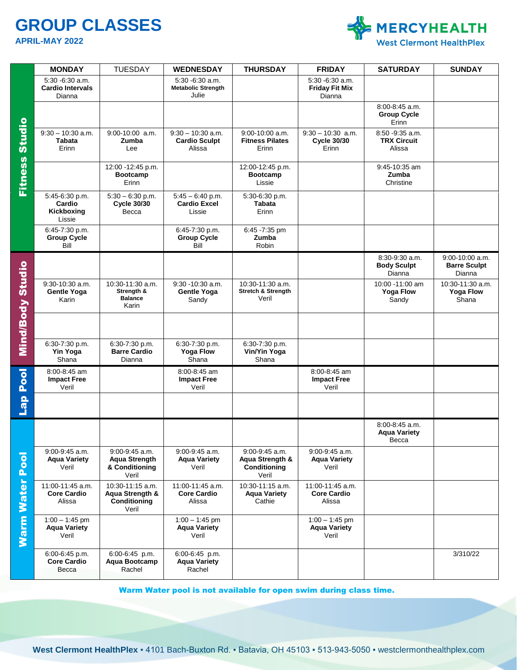# **GROUP CLASSES**

**APRIL-MAY 2022**



|                             | <b>MONDAY</b>                                           | <b>TUESDAY</b>                                                    | <b>WEDNESDAY</b>                                         | <b>THURSDAY</b>                                                | <b>FRIDAY</b>                                         | <b>SATURDAY</b>                                    | <b>SUNDAY</b>                                        |
|-----------------------------|---------------------------------------------------------|-------------------------------------------------------------------|----------------------------------------------------------|----------------------------------------------------------------|-------------------------------------------------------|----------------------------------------------------|------------------------------------------------------|
| <b>Fitness Studio</b>       | $5:30 - 6:30$ a.m.<br><b>Cardio Intervals</b><br>Dianna |                                                                   | $5:30 - 6:30$ a.m.<br><b>Metabolic Strength</b><br>Julie |                                                                | $5:30 - 6:30$ a.m.<br><b>Friday Fit Mix</b><br>Dianna |                                                    |                                                      |
|                             |                                                         |                                                                   |                                                          |                                                                |                                                       | 8:00-8:45 a.m.<br><b>Group Cycle</b><br>Erinn      |                                                      |
|                             | $9:30 - 10:30$ a.m.<br><b>Tabata</b><br>Erinn           | $9:00-10:00$ a.m.<br>Zumba<br>Lee                                 | $9:30 - 10:30$ a.m.<br><b>Cardio Sculpt</b><br>Alissa    | $9:00-10:00$ a.m.<br><b>Fitness Pilates</b><br>Erinn           | $9:30 - 10:30$ a.m.<br><b>Cycle 30/30</b><br>Erinn    | $8:50 - 9:35$ a.m.<br><b>TRX Circuit</b><br>Alissa |                                                      |
|                             |                                                         | 12:00 -12:45 p.m.<br><b>Bootcamp</b><br>Erinn                     |                                                          | 12:00-12:45 p.m.<br><b>Bootcamp</b><br>Lissie                  |                                                       | 9:45-10:35 am<br>Zumba<br>Christine                |                                                      |
|                             | 5:45-6:30 p.m.<br>Cardio<br>Kickboxing<br>Lissie        | $5:30 - 6:30$ p.m.<br><b>Cycle 30/30</b><br>Becca                 | $5:45 - 6:40$ p.m.<br><b>Cardio Excel</b><br>Lissie      | 5:30-6:30 p.m.<br><b>Tabata</b><br>Erinn                       |                                                       |                                                    |                                                      |
|                             | 6:45-7:30 p.m.<br><b>Group Cycle</b><br>Bill            |                                                                   | 6:45-7:30 p.m.<br><b>Group Cycle</b><br>Bill             | 6:45 -7:35 pm<br>Zumba<br>Robin                                |                                                       |                                                    |                                                      |
| Mind/Body Studio            |                                                         |                                                                   |                                                          |                                                                |                                                       | 8:30-9:30 a.m.<br><b>Body Sculpt</b><br>Dianna     | $9:00 - 10:00$ a.m.<br><b>Barre Sculpt</b><br>Dianna |
|                             | 9:30-10:30 a.m.<br><b>Gentle Yoga</b><br>Karin          | 10:30-11:30 a.m.<br>Strength &<br><b>Balance</b><br>Karin         | $9:30 - 10:30$ a.m.<br><b>Gentle Yoga</b><br>Sandy       | 10:30-11:30 a.m.<br><b>Stretch &amp; Strength</b><br>Veril     |                                                       | 10:00 - 11:00 am<br><b>Yoga Flow</b><br>Sandy      | 10:30-11:30 a.m.<br><b>Yoga Flow</b><br>Shana        |
|                             |                                                         |                                                                   |                                                          |                                                                |                                                       |                                                    |                                                      |
|                             | 6:30-7:30 p.m.<br>Yin Yoga<br>Shana                     | 6:30-7:30 p.m.<br><b>Barre Cardio</b><br>Dianna                   | 6:30-7:30 p.m.<br><b>Yoga Flow</b><br>Shana              | 6:30-7:30 p.m.<br>Vin/Yin Yoga<br>Shana                        |                                                       |                                                    |                                                      |
| <b>Lap Pool</b>             | 8:00-8:45 am<br><b>Impact Free</b><br>Veril             |                                                                   | 8:00-8:45 am<br><b>Impact Free</b><br>Veril              |                                                                | 8:00-8:45 am<br><b>Impact Free</b><br>Veril           |                                                    |                                                      |
|                             |                                                         |                                                                   |                                                          |                                                                |                                                       |                                                    |                                                      |
| <b>Pool</b><br><b>Water</b> |                                                         |                                                                   |                                                          |                                                                |                                                       | 8:00-8:45 a.m.<br><b>Aqua Variety</b><br>Becca     |                                                      |
|                             | 9:00-9:45 a.m.<br><b>Agua Variety</b><br>Veril          | 9:00-9:45 a.m.<br><b>Agua Strength</b><br>& Conditioning<br>Veril | 9:00-9:45 a.m.<br><b>Aqua Variety</b><br>Veril           | $9:00 - 9:45$ a.m.<br>Aqua Strength &<br>Conditioning<br>Veril | 9:00-9:45 a.m.<br><b>Aqua Variety</b><br>Veril        |                                                    |                                                      |
|                             | 11:00-11:45 a.m.<br><b>Core Cardio</b><br>Alissa        | 10:30-11:15 a.m.<br>Aqua Strength &<br>Conditioning<br>Veril      | 11:00-11:45 a.m.<br><b>Core Cardio</b><br>Alissa         | 10:30-11:15 a.m.<br><b>Aqua Variety</b><br>Cathie              | 11:00-11:45 a.m.<br><b>Core Cardio</b><br>Alissa      |                                                    |                                                      |
| <b>Warm</b>                 | $1:00 - 1:45$ pm<br><b>Aqua Variety</b><br>Veril        |                                                                   | $1:00 - 1:45$ pm<br><b>Aqua Variety</b><br>Veril         |                                                                | $1:00 - 1:45$ pm<br><b>Aqua Variety</b><br>Veril      |                                                    |                                                      |
|                             | 6:00-6:45 p.m.<br><b>Core Cardio</b><br>Becca           | 6:00-6:45 p.m.<br>Aqua Bootcamp<br>Rachel                         | 6:00-6:45 p.m.<br><b>Aqua Variety</b><br>Rachel          |                                                                |                                                       |                                                    | 3/310/22                                             |

Warm Water pool is not available for open swim during class time.